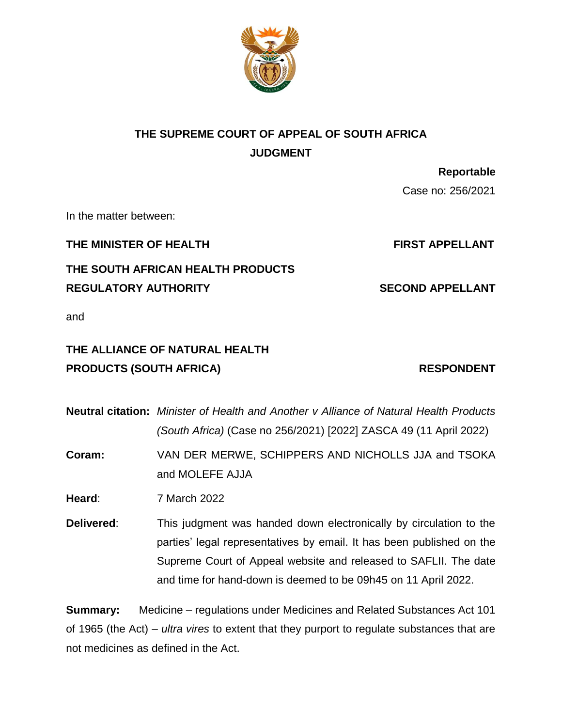

# **THE SUPREME COURT OF APPEAL OF SOUTH AFRICA JUDGMENT**

 **Reportable** Case no: 256/2021

In the matter between:

**THE MINISTER OF HEALTH FIRST APPELLANT** 

**THE SOUTH AFRICAN HEALTH PRODUCTS REGULATORY AUTHORITY SECOND APPELLANT** 

and

## **THE ALLIANCE OF NATURAL HEALTH**  PRODUCTS (SOUTH AFRICA) RESPONDENT

**Neutral citation:** *Minister of Health and Another v Alliance of Natural Health Products (South Africa)* (Case no 256/2021) [2022] ZASCA 49 (11 April 2022)

**Coram:** VAN DER MERWE, SCHIPPERS AND NICHOLLS JJA and TSOKA and MOLEFE AJJA

**Heard**: 7 March 2022

**Delivered:** This judgment was handed down electronically by circulation to the parties' legal representatives by email. It has been published on the Supreme Court of Appeal website and released to SAFLII. The date and time for hand-down is deemed to be 09h45 on 11 April 2022.

**Summary:** Medicine – regulations under Medicines and Related Substances Act 101 of 1965 (the Act) – *ultra vires* to extent that they purport to regulate substances that are not medicines as defined in the Act.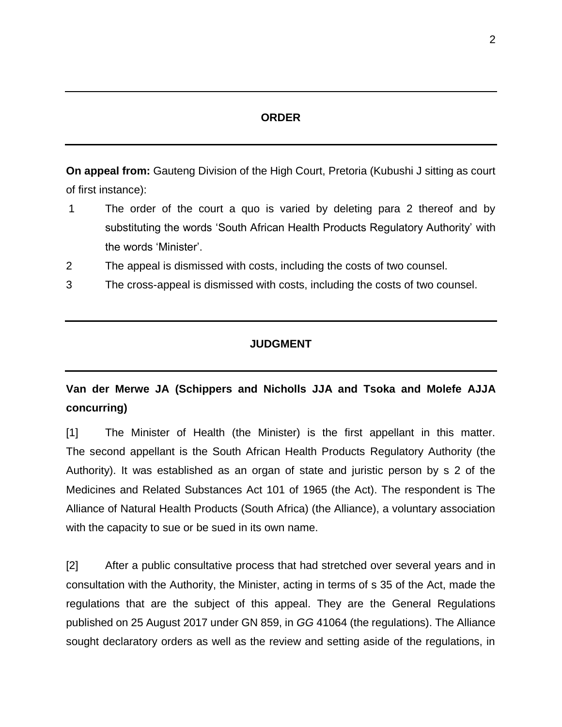#### **ORDER**

**On appeal from:** Gauteng Division of the High Court, Pretoria (Kubushi J sitting as court of first instance):

- 1 The order of the court a quo is varied by deleting para 2 thereof and by substituting the words 'South African Health Products Regulatory Authority' with the words 'Minister'.
- 2 The appeal is dismissed with costs, including the costs of two counsel.
- 3 The cross-appeal is dismissed with costs, including the costs of two counsel.

### **JUDGMENT**

## **Van der Merwe JA (Schippers and Nicholls JJA and Tsoka and Molefe AJJA concurring)**

[1] The Minister of Health (the Minister) is the first appellant in this matter. The second appellant is the South African Health Products Regulatory Authority (the Authority). It was established as an organ of state and juristic person by s 2 of the Medicines and Related Substances Act 101 of 1965 (the Act). The respondent is The Alliance of Natural Health Products (South Africa) (the Alliance), a voluntary association with the capacity to sue or be sued in its own name.

[2] After a public consultative process that had stretched over several years and in consultation with the Authority, the Minister, acting in terms of s 35 of the Act, made the regulations that are the subject of this appeal. They are the General Regulations published on 25 August 2017 under GN 859, in *GG* 41064 (the regulations). The Alliance sought declaratory orders as well as the review and setting aside of the regulations, in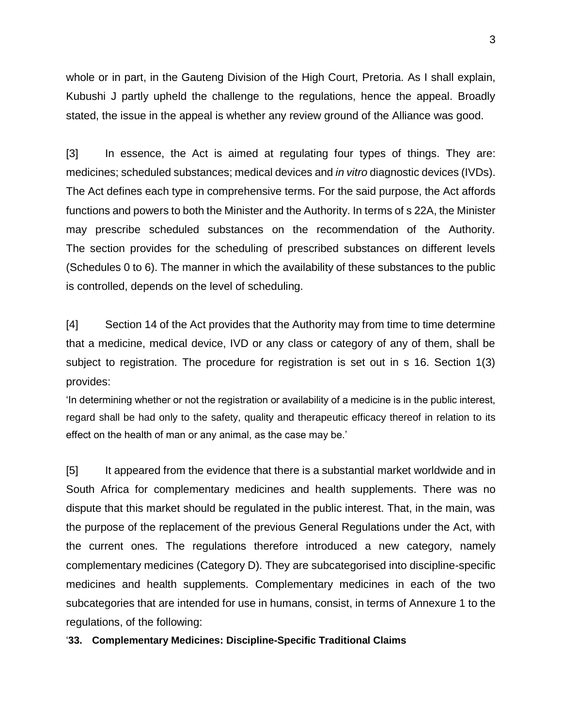whole or in part, in the Gauteng Division of the High Court, Pretoria. As I shall explain, Kubushi J partly upheld the challenge to the regulations, hence the appeal. Broadly stated, the issue in the appeal is whether any review ground of the Alliance was good.

[3] In essence, the Act is aimed at regulating four types of things. They are: medicines; scheduled substances; medical devices and *in vitro* diagnostic devices (IVDs). The Act defines each type in comprehensive terms. For the said purpose, the Act affords functions and powers to both the Minister and the Authority. In terms of s 22A, the Minister may prescribe scheduled substances on the recommendation of the Authority. The section provides for the scheduling of prescribed substances on different levels (Schedules 0 to 6). The manner in which the availability of these substances to the public is controlled, depends on the level of scheduling.

[4] Section 14 of the Act provides that the Authority may from time to time determine that a medicine, medical device, IVD or any class or category of any of them, shall be subject to registration. The procedure for registration is set out in s 16. Section 1(3) provides:

'In determining whether or not the registration or availability of a medicine is in the public interest, regard shall be had only to the safety, quality and therapeutic efficacy thereof in relation to its effect on the health of man or any animal, as the case may be.'

[5] It appeared from the evidence that there is a substantial market worldwide and in South Africa for complementary medicines and health supplements. There was no dispute that this market should be regulated in the public interest. That, in the main, was the purpose of the replacement of the previous General Regulations under the Act, with the current ones. The regulations therefore introduced a new category, namely complementary medicines (Category D). They are subcategorised into discipline-specific medicines and health supplements. Complementary medicines in each of the two subcategories that are intended for use in humans, consist, in terms of Annexure 1 to the regulations, of the following:

'**33. Complementary Medicines: Discipline-Specific Traditional Claims**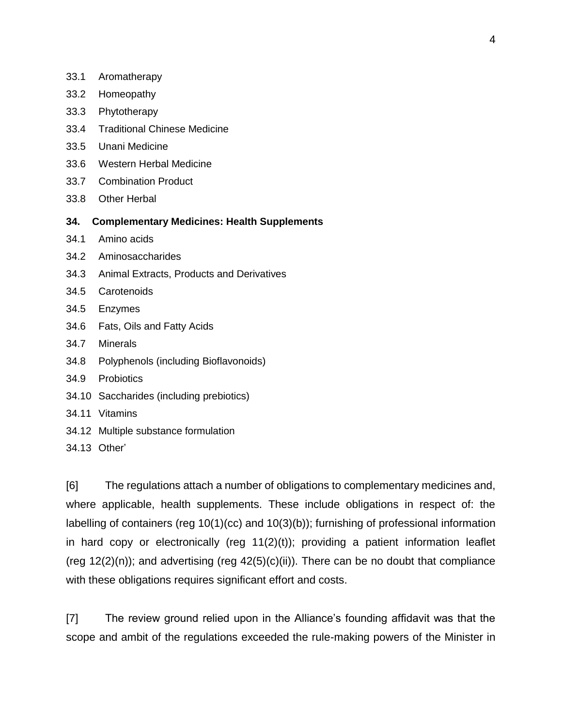- 33.1 Aromatherapy
- 33.2 Homeopathy
- 33.3 Phytotherapy
- 33.4 Traditional Chinese Medicine
- 33.5 Unani Medicine
- 33.6 Western Herbal Medicine
- 33.7 Combination Product
- 33.8 Other Herbal

#### **34. Complementary Medicines: Health Supplements**

- 34.1 Amino acids
- 34.2 Aminosaccharides
- 34.3 Animal Extracts, Products and Derivatives
- 34.5 Carotenoids
- 34.5 Enzymes
- 34.6 Fats, Oils and Fatty Acids
- 34.7 Minerals
- 34.8 Polyphenols (including Bioflavonoids)
- 34.9 Probiotics
- 34.10 Saccharides (including prebiotics)
- 34.11 Vitamins
- 34.12 Multiple substance formulation
- 34.13 Other'

[6] The regulations attach a number of obligations to complementary medicines and, where applicable, health supplements. These include obligations in respect of: the labelling of containers (reg 10(1)(cc) and 10(3)(b)); furnishing of professional information in hard copy or electronically (reg 11(2)(t)); providing a patient information leaflet (reg  $12(2)(n)$ ); and advertising (reg  $42(5)(c)(ii)$ ). There can be no doubt that compliance with these obligations requires significant effort and costs.

[7] The review ground relied upon in the Alliance's founding affidavit was that the scope and ambit of the regulations exceeded the rule-making powers of the Minister in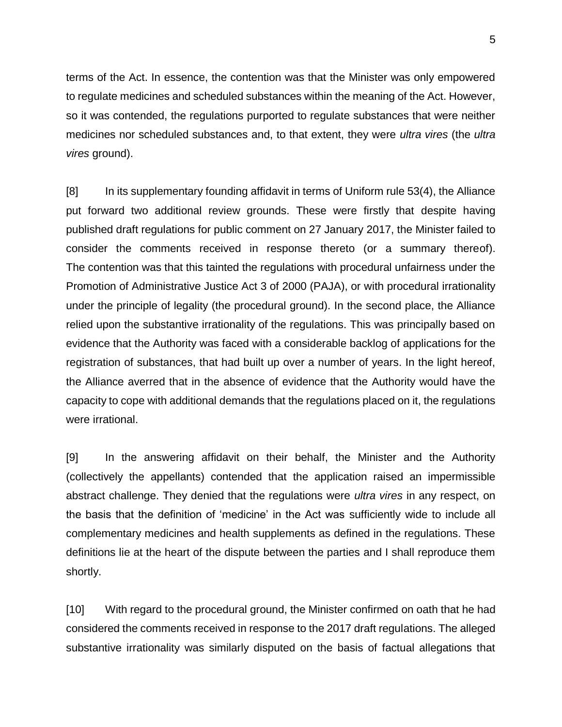terms of the Act. In essence, the contention was that the Minister was only empowered to regulate medicines and scheduled substances within the meaning of the Act. However, so it was contended, the regulations purported to regulate substances that were neither medicines nor scheduled substances and, to that extent, they were *ultra vires* (the *ultra vires* ground).

[8] In its supplementary founding affidavit in terms of Uniform rule 53(4), the Alliance put forward two additional review grounds. These were firstly that despite having published draft regulations for public comment on 27 January 2017, the Minister failed to consider the comments received in response thereto (or a summary thereof). The contention was that this tainted the regulations with procedural unfairness under the Promotion of Administrative Justice Act 3 of 2000 (PAJA), or with procedural irrationality under the principle of legality (the procedural ground). In the second place, the Alliance relied upon the substantive irrationality of the regulations. This was principally based on evidence that the Authority was faced with a considerable backlog of applications for the registration of substances, that had built up over a number of years. In the light hereof, the Alliance averred that in the absence of evidence that the Authority would have the capacity to cope with additional demands that the regulations placed on it, the regulations were irrational.

[9] In the answering affidavit on their behalf, the Minister and the Authority (collectively the appellants) contended that the application raised an impermissible abstract challenge. They denied that the regulations were *ultra vires* in any respect, on the basis that the definition of 'medicine' in the Act was sufficiently wide to include all complementary medicines and health supplements as defined in the regulations. These definitions lie at the heart of the dispute between the parties and I shall reproduce them shortly.

[10] With regard to the procedural ground, the Minister confirmed on oath that he had considered the comments received in response to the 2017 draft regulations. The alleged substantive irrationality was similarly disputed on the basis of factual allegations that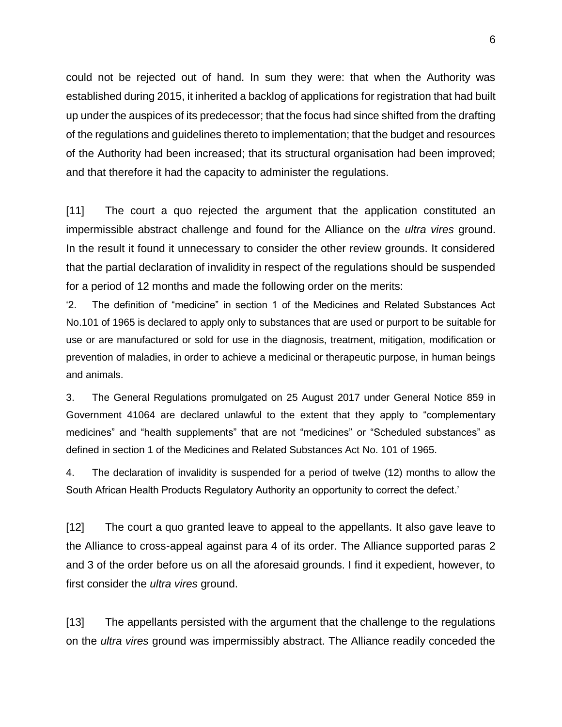could not be rejected out of hand. In sum they were: that when the Authority was established during 2015, it inherited a backlog of applications for registration that had built up under the auspices of its predecessor; that the focus had since shifted from the drafting of the regulations and guidelines thereto to implementation; that the budget and resources of the Authority had been increased; that its structural organisation had been improved; and that therefore it had the capacity to administer the regulations.

[11] The court a quo rejected the argument that the application constituted an impermissible abstract challenge and found for the Alliance on the *ultra vires* ground. In the result it found it unnecessary to consider the other review grounds. It considered that the partial declaration of invalidity in respect of the regulations should be suspended for a period of 12 months and made the following order on the merits:

'2. The definition of "medicine" in section 1 of the Medicines and Related Substances Act No.101 of 1965 is declared to apply only to substances that are used or purport to be suitable for use or are manufactured or sold for use in the diagnosis, treatment, mitigation, modification or prevention of maladies, in order to achieve a medicinal or therapeutic purpose, in human beings and animals.

3. The General Regulations promulgated on 25 August 2017 under General Notice 859 in Government 41064 are declared unlawful to the extent that they apply to "complementary medicines" and "health supplements" that are not "medicines" or "Scheduled substances" as defined in section 1 of the Medicines and Related Substances Act No. 101 of 1965.

4. The declaration of invalidity is suspended for a period of twelve (12) months to allow the South African Health Products Regulatory Authority an opportunity to correct the defect.'

[12] The court a quo granted leave to appeal to the appellants. It also gave leave to the Alliance to cross-appeal against para 4 of its order. The Alliance supported paras 2 and 3 of the order before us on all the aforesaid grounds. I find it expedient, however, to first consider the *ultra vires* ground.

[13] The appellants persisted with the argument that the challenge to the regulations on the *ultra vires* ground was impermissibly abstract. The Alliance readily conceded the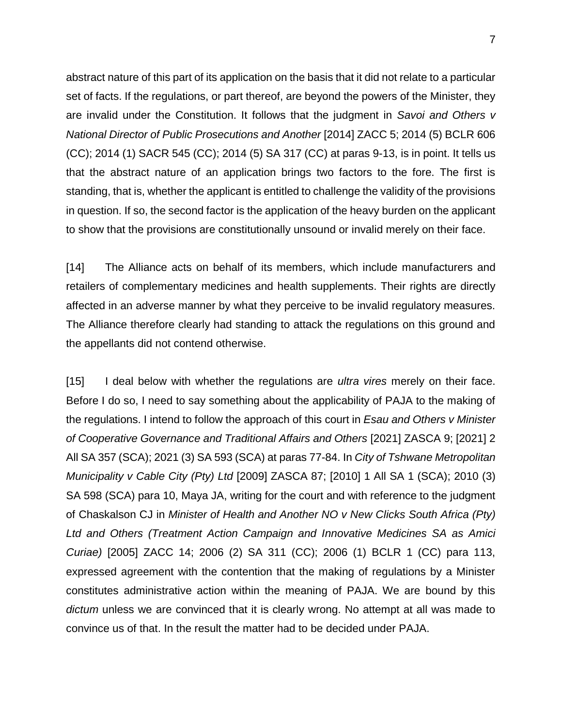abstract nature of this part of its application on the basis that it did not relate to a particular set of facts. If the regulations, or part thereof, are beyond the powers of the Minister, they are invalid under the Constitution. It follows that the judgment in *Savoi and Others v National Director of Public Prosecutions and Another* [2014] ZACC 5; 2014 (5) BCLR 606 (CC); 2014 (1) SACR 545 (CC); 2014 (5) SA 317 (CC) at paras 9-13, is in point. It tells us that the abstract nature of an application brings two factors to the fore. The first is standing, that is, whether the applicant is entitled to challenge the validity of the provisions in question. If so, the second factor is the application of the heavy burden on the applicant to show that the provisions are constitutionally unsound or invalid merely on their face.

[14] The Alliance acts on behalf of its members, which include manufacturers and retailers of complementary medicines and health supplements. Their rights are directly affected in an adverse manner by what they perceive to be invalid regulatory measures. The Alliance therefore clearly had standing to attack the regulations on this ground and the appellants did not contend otherwise.

[15] I deal below with whether the regulations are *ultra vires* merely on their face. Before I do so, I need to say something about the applicability of PAJA to the making of the regulations. I intend to follow the approach of this court in *Esau and Others v Minister of Cooperative Governance and Traditional Affairs and Others* [2021] ZASCA 9; [2021] 2 All SA 357 (SCA); 2021 (3) SA 593 (SCA) at paras 77-84. In *City of Tshwane Metropolitan Municipality v Cable City (Pty) Ltd* [2009] ZASCA 87; [2010] 1 All SA 1 (SCA); 2010 (3) SA 598 (SCA) para 10, Maya JA, writing for the court and with reference to the judgment of Chaskalson CJ in *Minister of Health and Another NO v New Clicks South Africa (Pty) Ltd and Others (Treatment Action Campaign and Innovative Medicines SA as Amici Curiae)* [2005] ZACC 14; 2006 (2) SA 311 (CC); 2006 (1) BCLR 1 (CC) para 113, expressed agreement with the contention that the making of regulations by a Minister constitutes administrative action within the meaning of PAJA. We are bound by this *dictum* unless we are convinced that it is clearly wrong. No attempt at all was made to convince us of that. In the result the matter had to be decided under PAJA.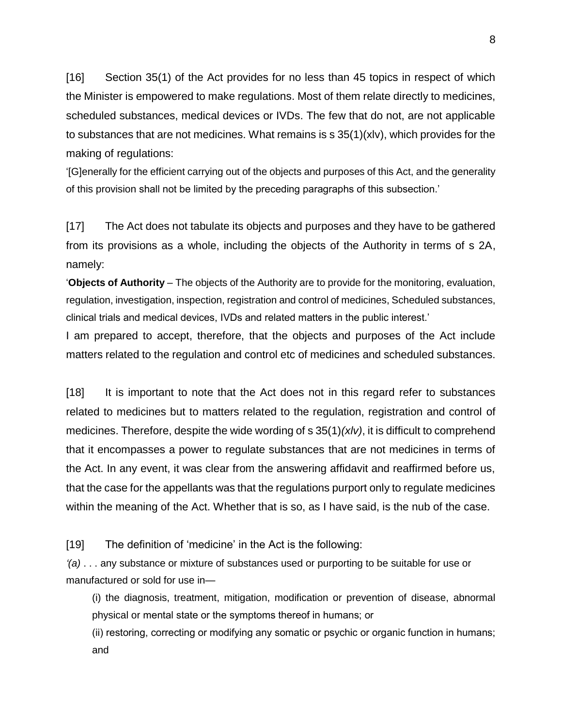[16] Section 35(1) of the Act provides for no less than 45 topics in respect of which the Minister is empowered to make regulations. Most of them relate directly to medicines, scheduled substances, medical devices or IVDs. The few that do not, are not applicable to substances that are not medicines. What remains is  $s$  35(1)(xlv), which provides for the making of regulations:

'[G]enerally for the efficient carrying out of the objects and purposes of this Act, and the generality of this provision shall not be limited by the preceding paragraphs of this subsection.'

[17] The Act does not tabulate its objects and purposes and they have to be gathered from its provisions as a whole, including the objects of the Authority in terms of s 2A, namely:

'**Objects of Authority** – The objects of the Authority are to provide for the monitoring, evaluation, regulation, investigation, inspection, registration and control of medicines, Scheduled substances, clinical trials and medical devices, IVDs and related matters in the public interest.'

I am prepared to accept, therefore, that the objects and purposes of the Act include matters related to the regulation and control etc of medicines and scheduled substances.

[18] It is important to note that the Act does not in this regard refer to substances related to medicines but to matters related to the regulation, registration and control of medicines. Therefore, despite the wide wording of s 35(1)*(xlv)*, it is difficult to comprehend that it encompasses a power to regulate substances that are not medicines in terms of the Act. In any event, it was clear from the answering affidavit and reaffirmed before us, that the case for the appellants was that the regulations purport only to regulate medicines within the meaning of the Act. Whether that is so, as I have said, is the nub of the case.

[19] The definition of 'medicine' in the Act is the following:

*'(a)* . . . any substance or mixture of substances used or purporting to be suitable for use or manufactured or sold for use in—

(i) the diagnosis, treatment, mitigation, modification or prevention of disease, abnormal physical or mental state or the symptoms thereof in humans; or

(ii) restoring, correcting or modifying any somatic or psychic or organic function in humans; and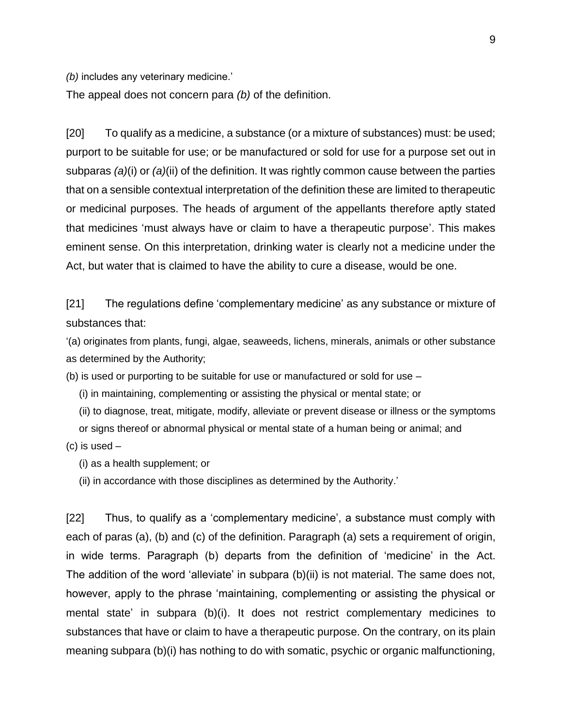*(b)* includes any veterinary medicine.'

The appeal does not concern para *(b)* of the definition.

[20] To qualify as a medicine, a substance (or a mixture of substances) must: be used; purport to be suitable for use; or be manufactured or sold for use for a purpose set out in subparas *(a)*(i) or *(a)*(ii) of the definition. It was rightly common cause between the parties that on a sensible contextual interpretation of the definition these are limited to therapeutic or medicinal purposes. The heads of argument of the appellants therefore aptly stated that medicines 'must always have or claim to have a therapeutic purpose'. This makes eminent sense. On this interpretation, drinking water is clearly not a medicine under the Act, but water that is claimed to have the ability to cure a disease, would be one.

[21] The regulations define 'complementary medicine' as any substance or mixture of substances that:

'(a) originates from plants, fungi, algae, seaweeds, lichens, minerals, animals or other substance as determined by the Authority;

(b) is used or purporting to be suitable for use or manufactured or sold for use –

(i) in maintaining, complementing or assisting the physical or mental state; or

(ii) to diagnose, treat, mitigate, modify, alleviate or prevent disease or illness or the symptoms

or signs thereof or abnormal physical or mental state of a human being or animal; and

 $(c)$  is used  $-$ 

(i) as a health supplement; or

(ii) in accordance with those disciplines as determined by the Authority.'

[22] Thus, to qualify as a 'complementary medicine', a substance must comply with each of paras (a), (b) and (c) of the definition. Paragraph (a) sets a requirement of origin, in wide terms. Paragraph (b) departs from the definition of 'medicine' in the Act. The addition of the word 'alleviate' in subpara (b)(ii) is not material. The same does not, however, apply to the phrase 'maintaining, complementing or assisting the physical or mental state' in subpara (b)(i). It does not restrict complementary medicines to substances that have or claim to have a therapeutic purpose. On the contrary, on its plain meaning subpara (b)(i) has nothing to do with somatic, psychic or organic malfunctioning,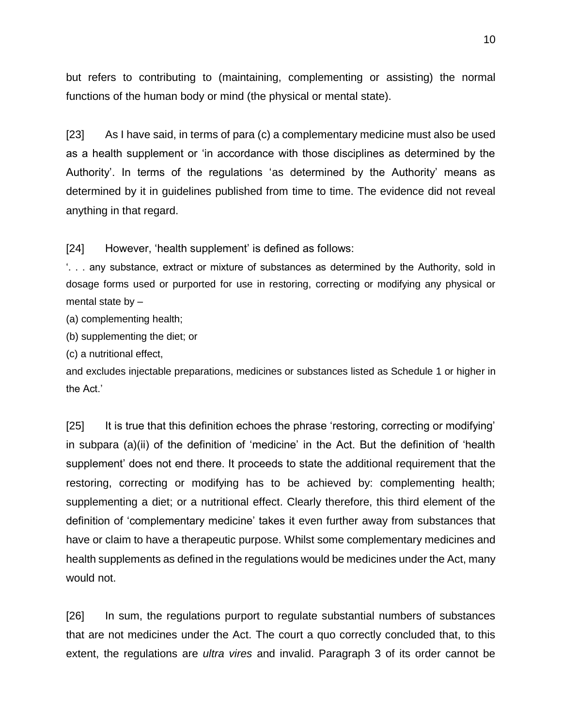but refers to contributing to (maintaining, complementing or assisting) the normal functions of the human body or mind (the physical or mental state).

[23] As I have said, in terms of para (c) a complementary medicine must also be used as a health supplement or 'in accordance with those disciplines as determined by the Authority'. In terms of the regulations 'as determined by the Authority' means as determined by it in guidelines published from time to time. The evidence did not reveal anything in that regard.

[24] However, 'health supplement' is defined as follows:

'. . . any substance, extract or mixture of substances as determined by the Authority, sold in dosage forms used or purported for use in restoring, correcting or modifying any physical or mental state by –

(a) complementing health;

(b) supplementing the diet; or

(c) a nutritional effect,

and excludes injectable preparations, medicines or substances listed as Schedule 1 or higher in the Act.'

[25] It is true that this definition echoes the phrase 'restoring, correcting or modifying' in subpara (a)(ii) of the definition of 'medicine' in the Act. But the definition of 'health supplement' does not end there. It proceeds to state the additional requirement that the restoring, correcting or modifying has to be achieved by: complementing health; supplementing a diet; or a nutritional effect. Clearly therefore, this third element of the definition of 'complementary medicine' takes it even further away from substances that have or claim to have a therapeutic purpose. Whilst some complementary medicines and health supplements as defined in the regulations would be medicines under the Act, many would not.

[26] In sum, the regulations purport to regulate substantial numbers of substances that are not medicines under the Act. The court a quo correctly concluded that, to this extent, the regulations are *ultra vires* and invalid. Paragraph 3 of its order cannot be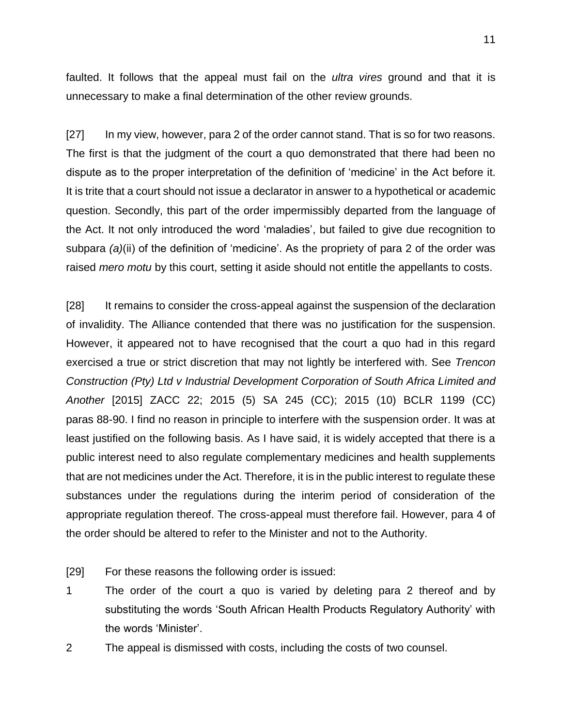faulted. It follows that the appeal must fail on the *ultra vires* ground and that it is unnecessary to make a final determination of the other review grounds.

[27] In my view, however, para 2 of the order cannot stand. That is so for two reasons. The first is that the judgment of the court a quo demonstrated that there had been no dispute as to the proper interpretation of the definition of 'medicine' in the Act before it. It is trite that a court should not issue a declarator in answer to a hypothetical or academic question. Secondly, this part of the order impermissibly departed from the language of the Act. It not only introduced the word 'maladies', but failed to give due recognition to subpara *(a)*(ii) of the definition of 'medicine'. As the propriety of para 2 of the order was raised *mero motu* by this court, setting it aside should not entitle the appellants to costs.

[28] It remains to consider the cross-appeal against the suspension of the declaration of invalidity. The Alliance contended that there was no justification for the suspension. However, it appeared not to have recognised that the court a quo had in this regard exercised a true or strict discretion that may not lightly be interfered with. See *Trencon Construction (Pty) Ltd v Industrial Development Corporation of South Africa Limited and Another* [2015] ZACC 22; 2015 (5) SA 245 (CC); 2015 (10) BCLR 1199 (CC) paras 88-90. I find no reason in principle to interfere with the suspension order. It was at least justified on the following basis. As I have said, it is widely accepted that there is a public interest need to also regulate complementary medicines and health supplements that are not medicines under the Act. Therefore, it is in the public interest to regulate these substances under the regulations during the interim period of consideration of the appropriate regulation thereof. The cross-appeal must therefore fail. However, para 4 of the order should be altered to refer to the Minister and not to the Authority.

- [29] For these reasons the following order is issued:
- 1 The order of the court a quo is varied by deleting para 2 thereof and by substituting the words 'South African Health Products Regulatory Authority' with the words 'Minister'.
- 2 The appeal is dismissed with costs, including the costs of two counsel.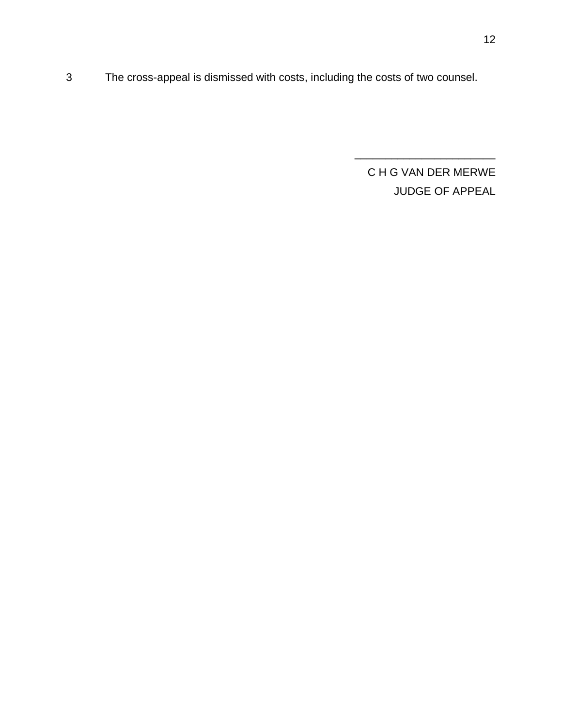3 The cross-appeal is dismissed with costs, including the costs of two counsel.

C H G VAN DER MERWE JUDGE OF APPEAL

\_\_\_\_\_\_\_\_\_\_\_\_\_\_\_\_\_\_\_\_\_\_\_